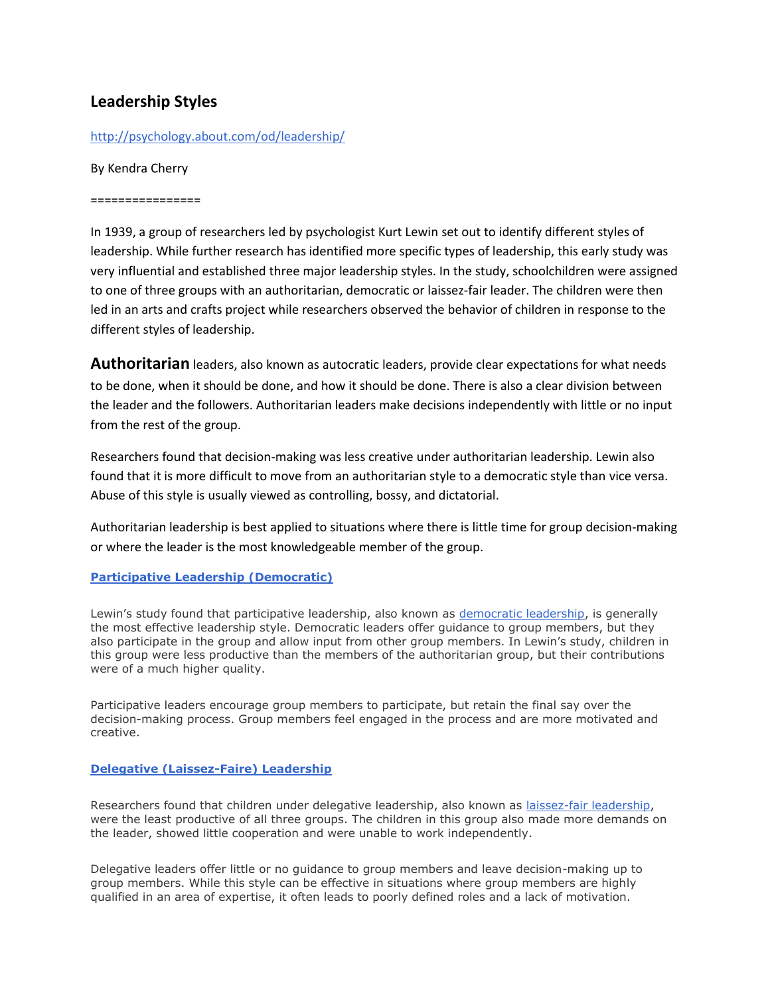# **Leadership Styles**

# <http://psychology.about.com/od/leadership/>

By Kendra Cherry

================

In 1939, a group of researchers led by psychologist Kurt Lewin set out to identify different styles of leadership. While further research has identified more specific types of leadership, this early study was very influential and established three major leadership styles. In the study, schoolchildren were assigned to one of three groups with an authoritarian, democratic or laissez-fair leader. The children were then led in an arts and crafts project while researchers observed the behavior of children in response to the different styles of leadership.

**Authoritarian** leaders, also known as autocratic leaders, provide clear expectations for what needs to be done, when it should be done, and how it should be done. There is also a clear division between the leader and the followers. Authoritarian leaders make decisions independently with little or no input from the rest of the group.

Researchers found that decision-making was less creative under authoritarian leadership. Lewin also found that it is more difficult to move from an authoritarian style to a democratic style than vice versa. Abuse of this style is usually viewed as controlling, bossy, and dictatorial.

Authoritarian leadership is best applied to situations where there is little time for group decision-making or where the leader is the most knowledgeable member of the group.

# **[Participative Leadership \(Democratic\)](http://psychology.about.com/od/leadership/f/democratic-leadership.htm)**

Lewin's study found that participative leadership, also known as [democratic leadership,](http://psychology.about.com/od/leadership/f/democratic-leadership.htm) is generally the most effective leadership style. Democratic leaders offer guidance to group members, but they also participate in the group and allow input from other group members. In Lewin's study, children in this group were less productive than the members of the authoritarian group, but their contributions were of a much higher quality.

Participative leaders encourage group members to participate, but retain the final say over the decision-making process. Group members feel engaged in the process and are more motivated and creative.

# **[Delegative \(Laissez-Faire\) Leadership](http://psychology.about.com/od/leadership/f/laissez-faire-leadership.htm)**

Researchers found that children under delegative leadership, also known as [laissez-fair leadership,](http://psychology.about.com/od/leadership/f/laissez-faire-leadership.htm) were the least productive of all three groups. The children in this group also made more demands on the leader, showed little cooperation and were unable to work independently.

Delegative leaders offer little or no guidance to group members and leave decision-making up to group members. While this style can be effective in situations where group members are highly qualified in an area of expertise, it often leads to poorly defined roles and a lack of motivation.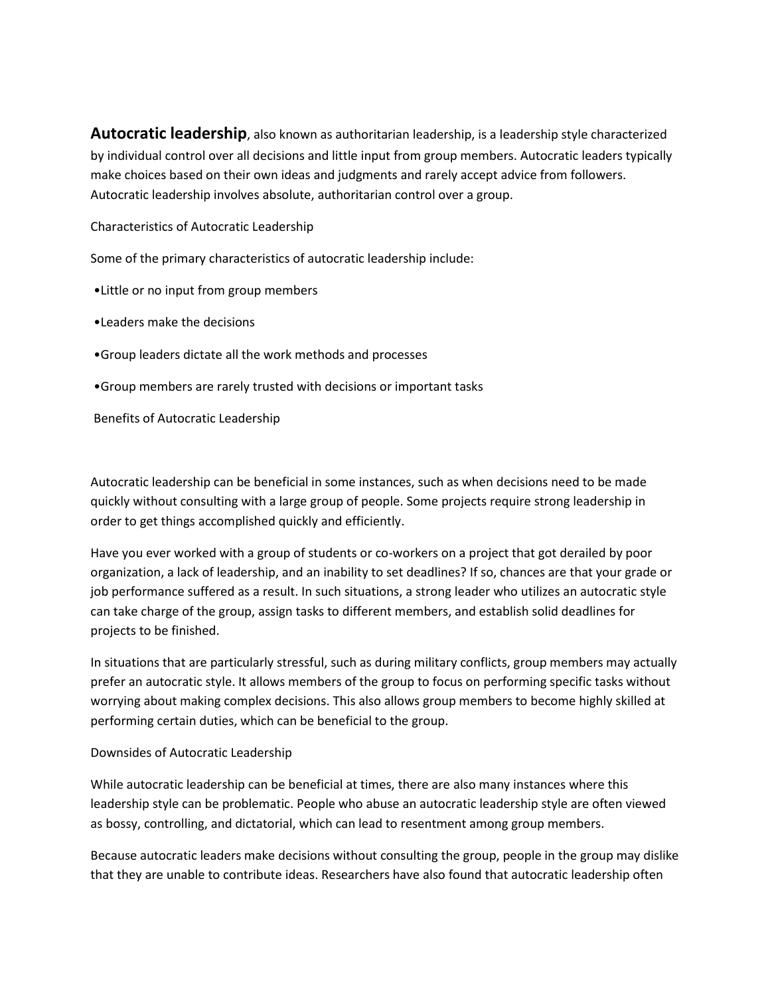**Autocratic leadership**, also known as authoritarian leadership, is a leadership style characterized by individual control over all decisions and little input from group members. Autocratic leaders typically make choices based on their own ideas and judgments and rarely accept advice from followers. Autocratic leadership involves absolute, authoritarian control over a group.

Characteristics of Autocratic Leadership

Some of the primary characteristics of autocratic leadership include:

•Little or no input from group members

•Leaders make the decisions

•Group leaders dictate all the work methods and processes

•Group members are rarely trusted with decisions or important tasks

Benefits of Autocratic Leadership

Autocratic leadership can be beneficial in some instances, such as when decisions need to be made quickly without consulting with a large group of people. Some projects require strong leadership in order to get things accomplished quickly and efficiently.

Have you ever worked with a group of students or co-workers on a project that got derailed by poor organization, a lack of leadership, and an inability to set deadlines? If so, chances are that your grade or job performance suffered as a result. In such situations, a strong leader who utilizes an autocratic style can take charge of the group, assign tasks to different members, and establish solid deadlines for projects to be finished.

In situations that are particularly stressful, such as during military conflicts, group members may actually prefer an autocratic style. It allows members of the group to focus on performing specific tasks without worrying about making complex decisions. This also allows group members to become highly skilled at performing certain duties, which can be beneficial to the group.

#### Downsides of Autocratic Leadership

While autocratic leadership can be beneficial at times, there are also many instances where this leadership style can be problematic. People who abuse an autocratic leadership style are often viewed as bossy, controlling, and dictatorial, which can lead to resentment among group members.

Because autocratic leaders make decisions without consulting the group, people in the group may dislike that they are unable to contribute ideas. Researchers have also found that autocratic leadership often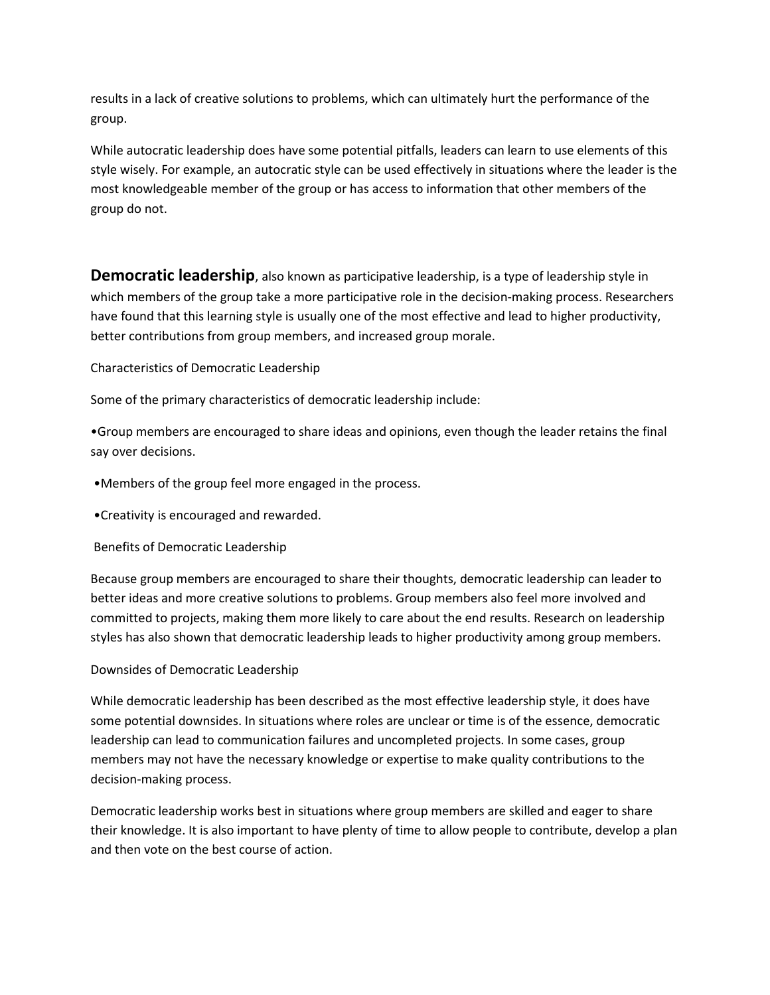results in a lack of creative solutions to problems, which can ultimately hurt the performance of the group.

While autocratic leadership does have some potential pitfalls, leaders can learn to use elements of this style wisely. For example, an autocratic style can be used effectively in situations where the leader is the most knowledgeable member of the group or has access to information that other members of the group do not.

**Democratic leadership**, also known as participative leadership, is a type of leadership style in which members of the group take a more participative role in the decision-making process. Researchers have found that this learning style is usually one of the most effective and lead to higher productivity, better contributions from group members, and increased group morale.

# Characteristics of Democratic Leadership

Some of the primary characteristics of democratic leadership include:

•Group members are encouraged to share ideas and opinions, even though the leader retains the final say over decisions.

•Members of the group feel more engaged in the process.

•Creativity is encouraged and rewarded.

Benefits of Democratic Leadership

Because group members are encouraged to share their thoughts, democratic leadership can leader to better ideas and more creative solutions to problems. Group members also feel more involved and committed to projects, making them more likely to care about the end results. Research on leadership styles has also shown that democratic leadership leads to higher productivity among group members.

# Downsides of Democratic Leadership

While democratic leadership has been described as the most effective leadership style, it does have some potential downsides. In situations where roles are unclear or time is of the essence, democratic leadership can lead to communication failures and uncompleted projects. In some cases, group members may not have the necessary knowledge or expertise to make quality contributions to the decision-making process.

Democratic leadership works best in situations where group members are skilled and eager to share their knowledge. It is also important to have plenty of time to allow people to contribute, develop a plan and then vote on the best course of action.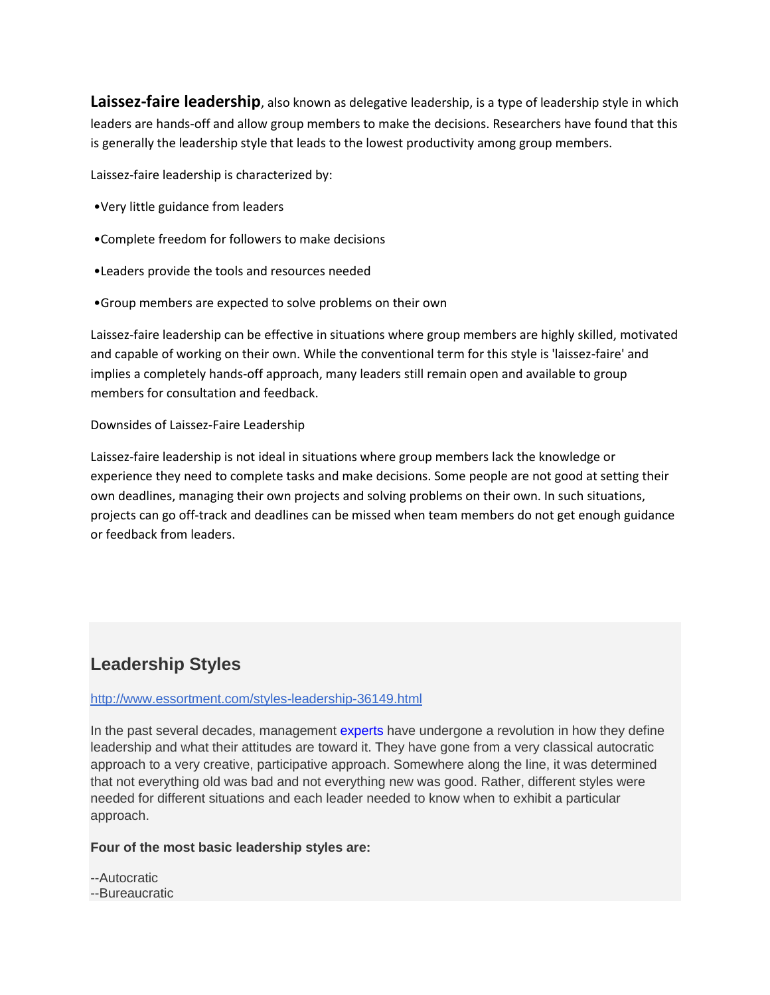Laissez-faire leadership, also known as delegative leadership, is a type of leadership style in which leaders are hands-off and allow group members to make the decisions. Researchers have found that this is generally the leadership style that leads to the lowest productivity among group members.

Laissez-faire leadership is characterized by:

- •Very little guidance from leaders
- •Complete freedom for followers to make decisions
- •Leaders provide the tools and resources needed
- •Group members are expected to solve problems on their own

Laissez-faire leadership can be effective in situations where group members are highly skilled, motivated and capable of working on their own. While the conventional term for this style is 'laissez-faire' and implies a completely hands-off approach, many leaders still remain open and available to group members for consultation and feedback.

Downsides of Laissez-Faire Leadership

Laissez-faire leadership is not ideal in situations where group members lack the knowledge or experience they need to complete tasks and make decisions. Some people are not good at setting their own deadlines, managing their own projects and solving problems on their own. In such situations, projects can go off-track and deadlines can be missed when team members do not get enough guidance or feedback from leaders.

# **Leadership Styles**

#### <http://www.essortment.com/styles-leadership-36149.html>

In the past several decades, management [experts](http://www.essortment.com/styles-leadership-36149.html) have undergone a revolution in how they define leadership and what their attitudes are toward it. They have gone from a very classical autocratic approach to a very creative, participative approach. Somewhere along the line, it was determined that not everything old was bad and not everything new was good. Rather, different styles were needed for different situations and each leader needed to know when to exhibit a particular approach.

# **Four of the most basic leadership styles are:**

--Autocratic --Bureaucratic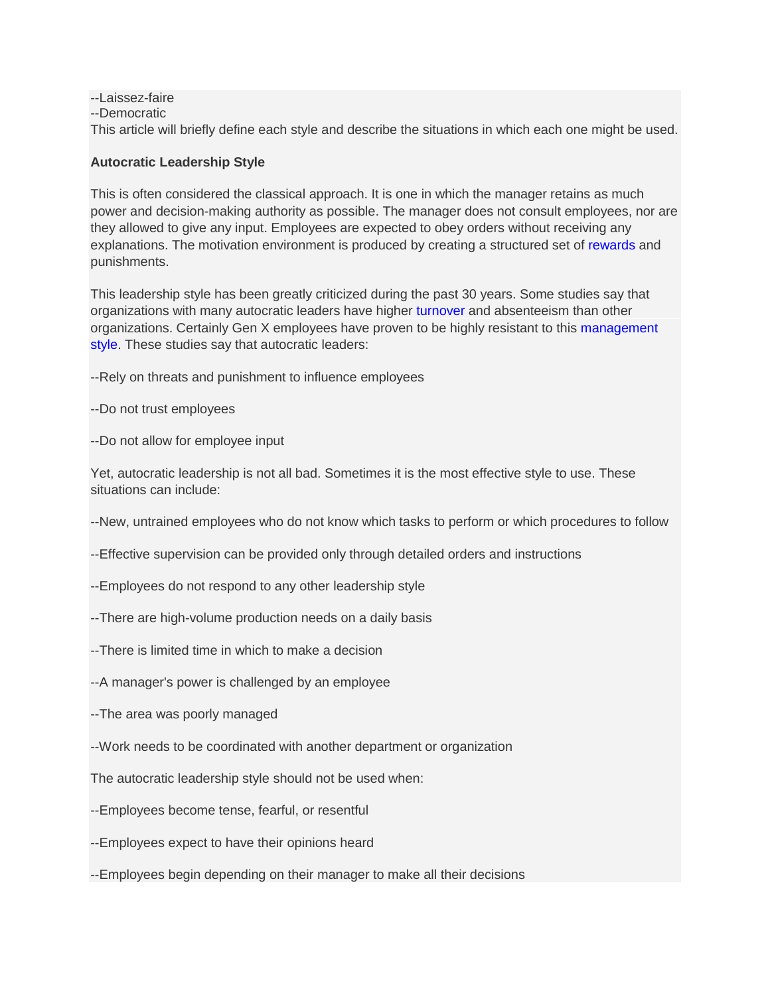--Laissez-faire

--Democratic

This article will briefly define each style and describe the situations in which each one might be used.

# **Autocratic Leadership Style**

This is often considered the classical approach. It is one in which the manager retains as much power and decision-making authority as possible. The manager does not consult employees, nor are they allowed to give any input. Employees are expected to obey orders without receiving any explanations. The motivation environment is produced by creating a structured set o[f rewards](http://www.essortment.com/styles-leadership-36149.html) and punishments.

This leadership style has been greatly criticized during the past 30 years. Some studies say that organizations with many autocratic leaders have higher [turnover](http://www.essortment.com/styles-leadership-36149.html) and absenteeism than other organizations. Certainly Gen X employees have proven to be highly resistant to this [management](http://www.essortment.com/styles-leadership-36149.html)  [style.](http://www.essortment.com/styles-leadership-36149.html) These studies say that autocratic leaders:

- --Rely on threats and punishment to influence employees
- --Do not trust employees
- --Do not allow for employee input

Yet, autocratic leadership is not all bad. Sometimes it is the most effective style to use. These situations can include:

--New, untrained employees who do not know which tasks to perform or which procedures to follow

- --Effective supervision can be provided only through detailed orders and instructions
- --Employees do not respond to any other leadership style
- --There are high-volume production needs on a daily basis
- --There is limited time in which to make a decision
- --A manager's power is challenged by an employee
- --The area was poorly managed
- --Work needs to be coordinated with another department or organization

The autocratic leadership style should not be used when:

- --Employees become tense, fearful, or resentful
- --Employees expect to have their opinions heard
- --Employees begin depending on their manager to make all their decisions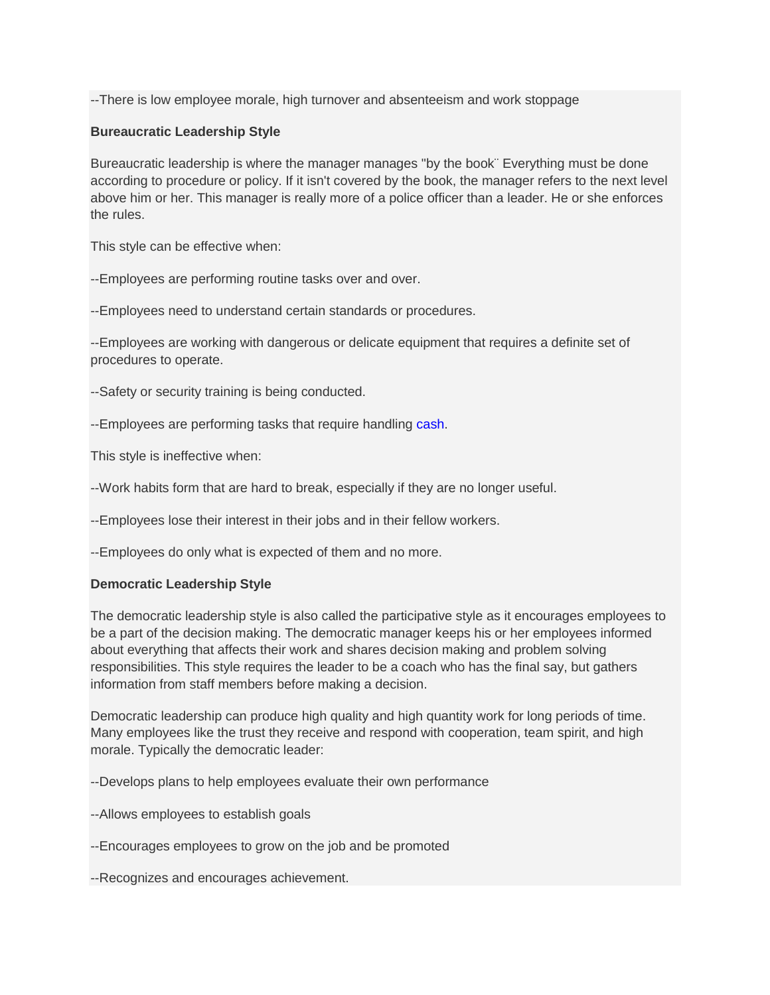--There is low employee morale, high turnover and absenteeism and work stoppage

# **Bureaucratic Leadership Style**

Bureaucratic leadership is where the manager manages "by the book¨ Everything must be done according to procedure or policy. If it isn't covered by the book, the manager refers to the next level above him or her. This manager is really more of a police officer than a leader. He or she enforces the rules.

This style can be effective when:

--Employees are performing routine tasks over and over.

--Employees need to understand certain standards or procedures.

--Employees are working with dangerous or delicate equipment that requires a definite set of procedures to operate.

--Safety or security training is being conducted.

--Employees are performing tasks that require handling [cash.](http://www.essortment.com/styles-leadership-36149.html)

This style is ineffective when:

--Work habits form that are hard to break, especially if they are no longer useful.

--Employees lose their interest in their jobs and in their fellow workers.

--Employees do only what is expected of them and no more.

# **Democratic Leadership Style**

The democratic leadership style is also called the participative style as it encourages employees to be a part of the decision making. The democratic manager keeps his or her employees informed about everything that affects their work and shares decision making and problem solving responsibilities. This style requires the leader to be a coach who has the final say, but gathers information from staff members before making a decision.

Democratic leadership can produce high quality and high quantity work for long periods of time. Many employees like the trust they receive and respond with cooperation, team spirit, and high morale. Typically the democratic leader:

--Develops plans to help employees evaluate their own performance

--Allows employees to establish goals

--Encourages employees to grow on the job and be promoted

--Recognizes and encourages achievement.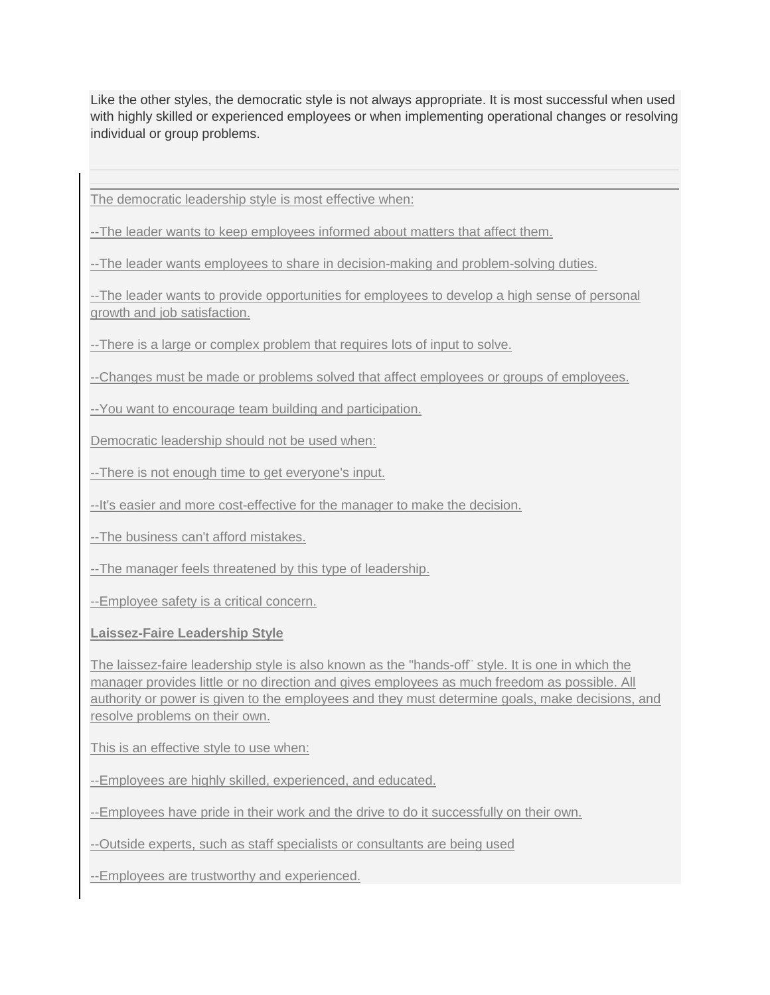Like the other styles, the democratic style is not always appropriate. It is most successful when used with highly skilled or experienced employees or when implementing operational changes or resolving individual or group problems.

The democratic leadership style is most effective when:

--The leader wants to keep employees informed about matters that affect them.

--The leader wants employees to share in decision-making and problem-solving duties.

--The leader wants to provide [opportunities](http://www.essortment.com/styles-leadership-36149.html) for employees to develop a high sense of [personal](http://www.essortment.com/styles-leadership-36149.html)  [growth](http://www.essortment.com/styles-leadership-36149.html) and job satisfaction.

--There is a large or complex problem that requires lots of input to solve.

--Changes must be made or problems solved that affect employees or groups of employees.

--You want to encourage team building and participation.

Democratic leadership should not be used when:

--There is not enough time to get everyone's input.

--It's easier and more cost-effective for the manager to make the decision.

-[-The business](http://www.essortment.com/styles-leadership-36149.html) can't afford mistakes.

--The manager feels threatened by this type of leadership.

--Employee safety is a critical concern.

# **Laissez-Faire Leadership Style**

The laissez-faire leadership style is also known as the "hands-off¨ style. It is one in which the manager provides little or no direction and gives employees as much freedom as possible. All authority or power is given to the employees and they must determine goals, make decisions, and resolve problems on their own.

This is an effective style to use when:

--Employees are highly skilled, experienced, and educated.

--Employees have pride in their work and the drive to do it successfully on their own.

--Outside experts, such as staff specialists or consultants are being used

--Employees are trustworthy and experienced.